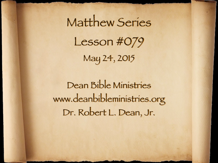Matthew Series Lesson #079 May 24, 2015

Dean Bible Ministries [www.deanbibleministries.org](http://www.deanbible.org) [Dr. Robert L. Dean, Jr.](http://www.deanbible.org)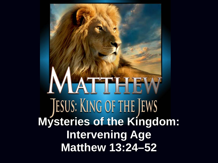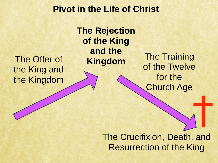## **Pivot in the Life of Christ**

The Offer of the King and the Kingdom **The Rejection of the King and the** 

**Kingdom** The Training of the Twelve for the Church Age

> The Crucifixion, Death, and Resurrection of the King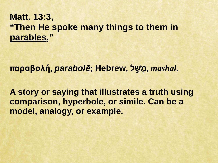## **Matt. 13:3, "Then He spoke many things to them in parables,"**

**παραβολή,** *parabol***ē; Hebrew, לָׁ֑שָמ,** *mashal***.**

**A story or saying that illustrates a truth using comparison, hyperbole, or simile. Can be a model, analogy, or example.**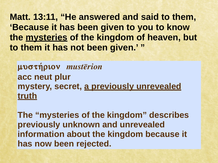**Matt. 13:11, "He answered and said to them, 'Because it has been given to you to know the mysteries of the kingdom of heaven, but to them it has not been given.' "**

μυστήριον *musterion* **acc neut plur mystery, secret, a previously unrevealed truth**

**The "mysteries of the kingdom" describes previously unknown and unrevealed information about the kingdom because it has now been rejected.**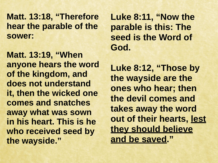**Matt. 13:18, "Therefore hear the parable of the sower:**

**Matt. 13:19, "When anyone hears the word of the kingdom, and does not understand it, then the wicked one comes and snatches away what was sown in his heart. This is he who received seed by the wayside."**

**Luke 8:11, "Now the parable is this: The seed is the Word of God.**

Luke 8:12, "Those by **the wayside are the ones who hear; then the devil comes and takes away the word out of their hearts, lest they should believe and be saved."**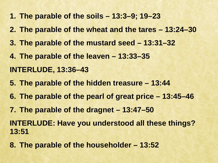- **1. The parable of the soils 13:3–9; 19–23**
- **2. The parable of the wheat and the tares 13:24–30**
- **3. The parable of the mustard seed 13:31–32**
- **4. The parable of the leaven 13:33–35 INTERLUDE, 13:36–43**
- **5. The parable of the hidden treasure 13:44**
- **6. The parable of the pearl of great price 13:45–46**
- **7. The parable of the dragnet 13:47–50**

**INTERLUDE: Have you understood all these things? 13:51**

**8. The parable of the householder – 13:52**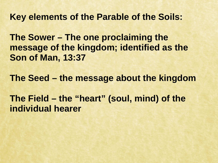**Key elements of the Parable of the Soils:**

**The Sower – The one proclaiming the message of the kingdom; identified as the Son of Man, 13:37**

**The Seed – the message about the kingdom**

**The Field – the "heart" (soul, mind) of the individual hearer**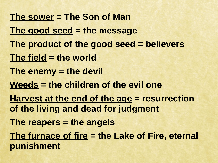**The sower = The Son of Man The good seed = the message The product of the good seed = believers The field = the world The enemy = the devil Weeds = the children of the evil one Harvest at the end of the age = resurrection of the living and dead for judgment The reapers = the angels The furnace of fire = the Lake of Fire, eternal punishment**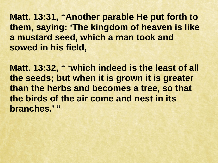**Matt. 13:31, "Another parable He put forth to them, saying: 'The kingdom of heaven is like a mustard seed, which a man took and sowed in his field,**

Matt. 13:32, " 'which indeed is the least of all **the seeds; but when it is grown it is greater than the herbs and becomes a tree, so that the birds of the air come and nest in its branches.' "**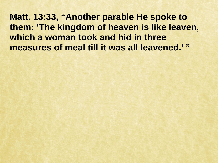**Matt. 13:33, "Another parable He spoke to them: 'The kingdom of heaven is like leaven, which a woman took and hid in three measures of meal till it was all leavened.' "**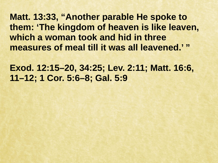**Matt. 13:33, "Another parable He spoke to them: 'The kingdom of heaven is like leaven, which a woman took and hid in three measures of meal till it was all leavened.' "**

**Exod. 12:15–20, 34:25; Lev. 2:11; Matt. 16:6, 11–12; 1 Cor. 5:6–8; Gal. 5:9**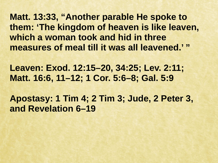**Matt. 13:33, "Another parable He spoke to them: 'The kingdom of heaven is like leaven, which a woman took and hid in three measures of meal till it was all leavened.' "**

**Leaven: Exod. 12:15–20, 34:25; Lev. 2:11; Matt. 16:6, 11–12; 1 Cor. 5:6–8; Gal. 5:9**

**Apostasy: 1 Tim 4; 2 Tim 3; Jude, 2 Peter 3, and Revelation 6–19**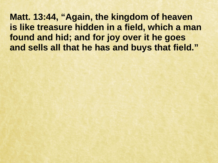**Matt. 13:44, "Again, the kingdom of heaven is like treasure hidden in a field, which a man found and hid; and for joy over it he goes and sells all that he has and buys that field."**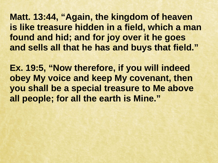**Matt. 13:44, "Again, the kingdom of heaven is like treasure hidden in a field, which a man found and hid; and for joy over it he goes and sells all that he has and buys that field."**

**Ex. 19:5, "Now therefore, if you will indeed obey My voice and keep My covenant, then you shall be a special treasure to Me above all people; for all the earth is Mine."**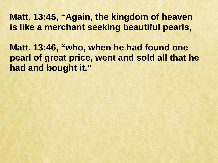## **Matt. 13:45, "Again, the kingdom of heaven is like a merchant seeking beautiful pearls,**

**Matt. 13:46, "who, when he had found one pearl of great price, went and sold all that he had and bought it."**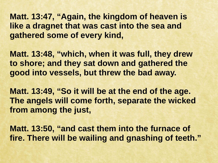**Matt. 13:47, "Again, the kingdom of heaven is like a dragnet that was cast into the sea and gathered some of every kind,**

**Matt. 13:48, "which, when it was full, they drew to shore; and they sat down and gathered the good into vessels, but threw the bad away.**

**Matt. 13:49, "So it will be at the end of the age. The angels will come forth, separate the wicked from among the just,**

**Matt. 13:50, "and cast them into the furnace of fire. There will be wailing and gnashing of teeth."**